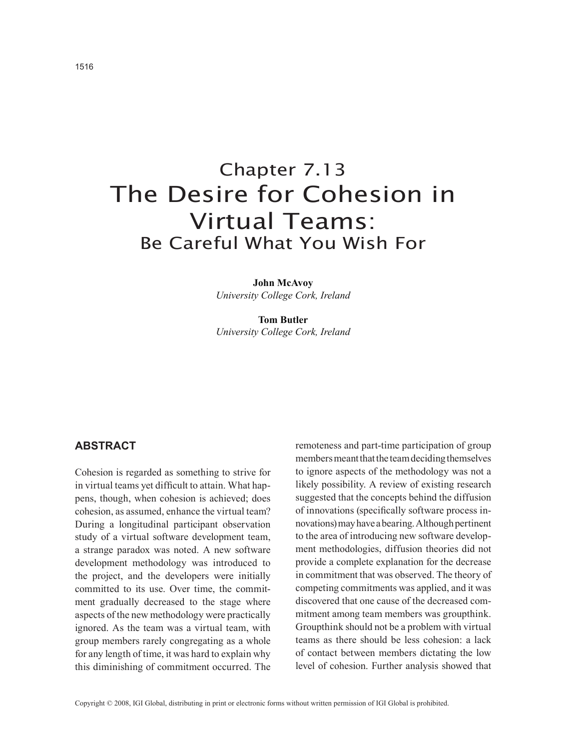# Chapter 7.13 The Desire for Cohesion in Virtual Teams: Be Careful What You Wish For

**John McAvoy** *University College Cork, Ireland*

**Tom Butler** *University College Cork, Ireland*

## **ABSTRACT**

Cohesion is regarded as something to strive for in virtual teams yet difficult to attain. What happens, though, when cohesion is achieved; does cohesion, as assumed, enhance the virtual team? During a longitudinal participant observation study of a virtual software development team, a strange paradox was noted. A new software development methodology was introduced to the project, and the developers were initially committed to its use. Over time, the commitment gradually decreased to the stage where aspects of the new methodology were practically ignored. As the team was a virtual team, with group members rarely congregating as a whole for any length of time, it was hard to explain why this diminishing of commitment occurred. The remoteness and part-time participation of group members meant that the team deciding themselves to ignore aspects of the methodology was not a likely possibility. A review of existing research suggested that the concepts behind the diffusion of innovations (specifically software process innovations) may have a bearing. Although pertinent to the area of introducing new software development methodologies, diffusion theories did not provide a complete explanation for the decrease in commitment that was observed. The theory of competing commitments was applied, and it was discovered that one cause of the decreased commitment among team members was groupthink. Groupthink should not be a problem with virtual teams as there should be less cohesion: a lack of contact between members dictating the low level of cohesion. Further analysis showed that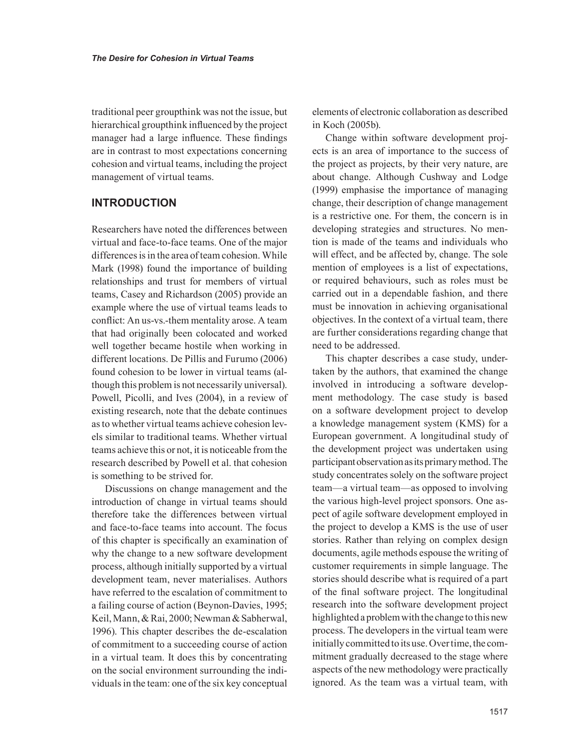traditional peer groupthink was not the issue, but hierarchical groupthink influenced by the project manager had a large influence. These findings are in contrast to most expectations concerning cohesion and virtual teams, including the project management of virtual teams.

## **INTRODUCTION**

Researchers have noted the differences between virtual and face-to-face teams. One of the major differences is in the area of team cohesion. While Mark (1998) found the importance of building relationships and trust for members of virtual teams, Casey and Richardson (2005) provide an example where the use of virtual teams leads to conflict: An us-vs.-them mentality arose. A team that had originally been colocated and worked well together became hostile when working in different locations. De Pillis and Furumo (2006) found cohesion to be lower in virtual teams (although this problem is not necessarily universal). Powell, Picolli, and Ives (2004), in a review of existing research, note that the debate continues as to whether virtual teams achieve cohesion levels similar to traditional teams. Whether virtual teams achieve this or not, it is noticeable from the research described by Powell et al. that cohesion is something to be strived for.

Discussions on change management and the introduction of change in virtual teams should therefore take the differences between virtual and face-to-face teams into account. The focus of this chapter is specifically an examination of why the change to a new software development process, although initially supported by a virtual development team, never materialises. Authors have referred to the escalation of commitment to a failing course of action (Beynon-Davies, 1995; Keil, Mann, & Rai, 2000; Newman & Sabherwal, 1996). This chapter describes the de-escalation of commitment to a succeeding course of action in a virtual team. It does this by concentrating on the social environment surrounding the individuals in the team: one of the six key conceptual

elements of electronic collaboration as described in Koch (2005b).

Change within software development projects is an area of importance to the success of the project as projects, by their very nature, are about change. Although Cushway and Lodge (1999) emphasise the importance of managing change, their description of change management is a restrictive one. For them, the concern is in developing strategies and structures. No mention is made of the teams and individuals who will effect, and be affected by, change. The sole mention of employees is a list of expectations, or required behaviours, such as roles must be carried out in a dependable fashion, and there must be innovation in achieving organisational objectives. In the context of a virtual team, there are further considerations regarding change that need to be addressed.

This chapter describes a case study, undertaken by the authors, that examined the change involved in introducing a software development methodology. The case study is based on a software development project to develop a knowledge management system (KMS) for a European government. A longitudinal study of the development project was undertaken using participant observation as its primary method. The study concentrates solely on the software project team—a virtual team—as opposed to involving the various high-level project sponsors. One aspect of agile software development employed in the project to develop a KMS is the use of user stories. Rather than relying on complex design documents, agile methods espouse the writing of customer requirements in simple language. The stories should describe what is required of a part of the final software project. The longitudinal research into the software development project highlighted a problem with the change to this new process. The developers in the virtual team were initially committed to its use. Over time, the commitment gradually decreased to the stage where aspects of the new methodology were practically ignored. As the team was a virtual team, with